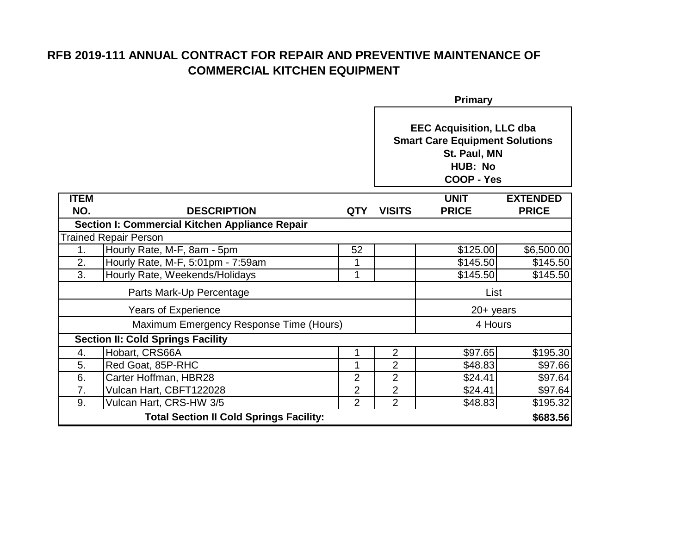|                                                | Primary                                        |                |                                                                                                                                 |              |                 |  |
|------------------------------------------------|------------------------------------------------|----------------|---------------------------------------------------------------------------------------------------------------------------------|--------------|-----------------|--|
|                                                |                                                |                | <b>EEC Acquisition, LLC dba</b><br><b>Smart Care Equipment Solutions</b><br>St. Paul, MN<br><b>HUB: No</b><br><b>COOP - Yes</b> |              |                 |  |
| <b>ITEM</b>                                    |                                                |                |                                                                                                                                 | <b>UNIT</b>  | <b>EXTENDED</b> |  |
| NO.                                            | <b>DESCRIPTION</b>                             | <b>QTY</b>     | <b>VISITS</b>                                                                                                                   | <b>PRICE</b> | <b>PRICE</b>    |  |
|                                                | Section I: Commercial Kitchen Appliance Repair |                |                                                                                                                                 |              |                 |  |
|                                                | <b>Trained Repair Person</b>                   |                |                                                                                                                                 |              |                 |  |
| 1.                                             | Hourly Rate, M-F, 8am - 5pm                    | 52             |                                                                                                                                 | \$125.00     | \$6,500.00      |  |
| 2.                                             | Hourly Rate, M-F, 5:01pm - 7:59am              | 1              |                                                                                                                                 | \$145.50     | \$145.50        |  |
| 3.                                             | Hourly Rate, Weekends/Holidays                 | 1              |                                                                                                                                 | \$145.50     | \$145.50        |  |
| Parts Mark-Up Percentage                       |                                                |                |                                                                                                                                 | List         |                 |  |
| <b>Years of Experience</b>                     |                                                |                |                                                                                                                                 | $20 + years$ |                 |  |
| Maximum Emergency Response Time (Hours)        |                                                |                |                                                                                                                                 | 4 Hours      |                 |  |
| <b>Section II: Cold Springs Facility</b>       |                                                |                |                                                                                                                                 |              |                 |  |
| 4.                                             | Hobart, CRS66A                                 | 1              | $\overline{2}$                                                                                                                  | \$97.65      | \$195.30        |  |
| 5.                                             | Red Goat, 85P-RHC                              |                | $\overline{2}$                                                                                                                  | \$48.83      | \$97.66         |  |
| 6.                                             | Carter Hoffman, HBR28                          | $\overline{2}$ | $\overline{2}$                                                                                                                  | \$24.41      | \$97.64         |  |
| 7.                                             | Vulcan Hart, CBFT122028                        | $\overline{2}$ | $\overline{2}$                                                                                                                  | \$24.41      | \$97.64         |  |
| 9.                                             | Vulcan Hart, CRS-HW 3/5                        | $\overline{2}$ | $\overline{2}$                                                                                                                  | \$48.83      | \$195.32        |  |
| <b>Total Section II Cold Springs Facility:</b> |                                                |                |                                                                                                                                 |              | \$683.56        |  |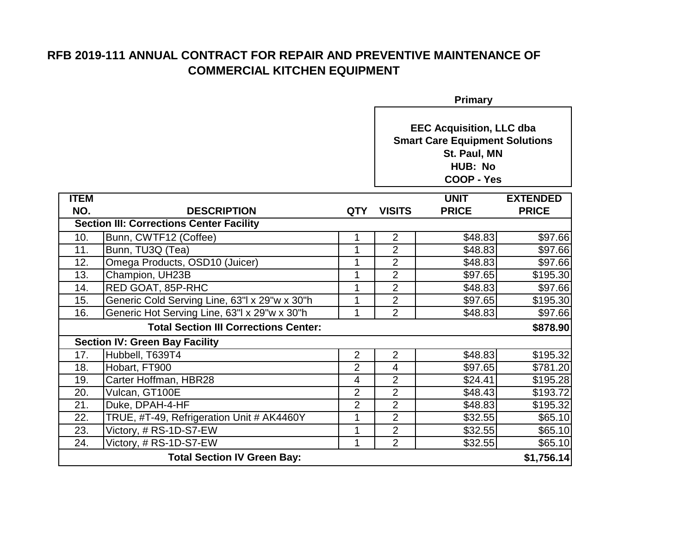|                                       | <b>Primary</b>                                  |                |                                                                                                                                 |              |                 |
|---------------------------------------|-------------------------------------------------|----------------|---------------------------------------------------------------------------------------------------------------------------------|--------------|-----------------|
|                                       |                                                 |                | <b>EEC Acquisition, LLC dba</b><br><b>Smart Care Equipment Solutions</b><br>St. Paul, MN<br><b>HUB: No</b><br><b>COOP - Yes</b> |              |                 |
| <b>ITEM</b>                           |                                                 |                |                                                                                                                                 | <b>UNIT</b>  | <b>EXTENDED</b> |
| NO.                                   | <b>DESCRIPTION</b>                              | <b>QTY</b>     | <b>VISITS</b>                                                                                                                   | <b>PRICE</b> | <b>PRICE</b>    |
|                                       | <b>Section III: Corrections Center Facility</b> |                |                                                                                                                                 |              |                 |
| 10.                                   | Bunn, CWTF12 (Coffee)                           | 1              | $\overline{2}$                                                                                                                  | \$48.83      | \$97.66         |
| 11.                                   | Bunn, TU3Q (Tea)                                | 1              | $\overline{2}$                                                                                                                  | \$48.83      | \$97.66         |
| 12.                                   | Omega Products, OSD10 (Juicer)                  | 1              | $\overline{2}$                                                                                                                  | \$48.83      | \$97.66         |
| 13.                                   | Champion, UH23B                                 | 1              | $\overline{2}$                                                                                                                  | \$97.65      | \$195.30        |
| 14.                                   | RED GOAT, 85P-RHC                               | 1              | $\overline{2}$                                                                                                                  | \$48.83      | \$97.66         |
| 15.                                   | Generic Cold Serving Line, 63"  x 29"w x 30"h   | 1              | $\overline{2}$                                                                                                                  | \$97.65      | \$195.30        |
| 16.                                   | Generic Hot Serving Line, 63"I x 29"w x 30"h    | 1              | $\overline{2}$                                                                                                                  | \$48.83      | \$97.66         |
|                                       | <b>Total Section III Corrections Center:</b>    |                |                                                                                                                                 |              | \$878.90        |
| <b>Section IV: Green Bay Facility</b> |                                                 |                |                                                                                                                                 |              |                 |
| 17.                                   | Hubbell, T639T4                                 | $\overline{2}$ | $\overline{2}$                                                                                                                  | \$48.83      | \$195.32        |
| 18.                                   | Hobart, FT900                                   | $\overline{2}$ | $\overline{4}$                                                                                                                  | \$97.65      | \$781.20        |
| 19.                                   | Carter Hoffman, HBR28                           | 4              | $\overline{2}$                                                                                                                  | \$24.41      | \$195.28        |
| 20.                                   | Vulcan, GT100E                                  | $\overline{2}$ | $\overline{2}$                                                                                                                  | \$48.43      | \$193.72        |
| 21.                                   | Duke, DPAH-4-HF                                 | $\overline{2}$ | $\overline{2}$                                                                                                                  | \$48.83      | \$195.32        |
| 22.                                   | TRUE, #T-49, Refrigeration Unit # AK4460Y       | $\mathbf 1$    | $\overline{2}$                                                                                                                  | \$32.55      | \$65.10         |
| 23.                                   | Victory, # RS-1D-S7-EW                          | 1              | $\overline{2}$                                                                                                                  | \$32.55      | \$65.10         |
| 24.                                   | Victory, # RS-1D-S7-EW                          | 1              | 2                                                                                                                               | \$32.55      | \$65.10         |
|                                       | <b>Total Section IV Green Bay:</b>              |                |                                                                                                                                 |              | \$1,756.14]     |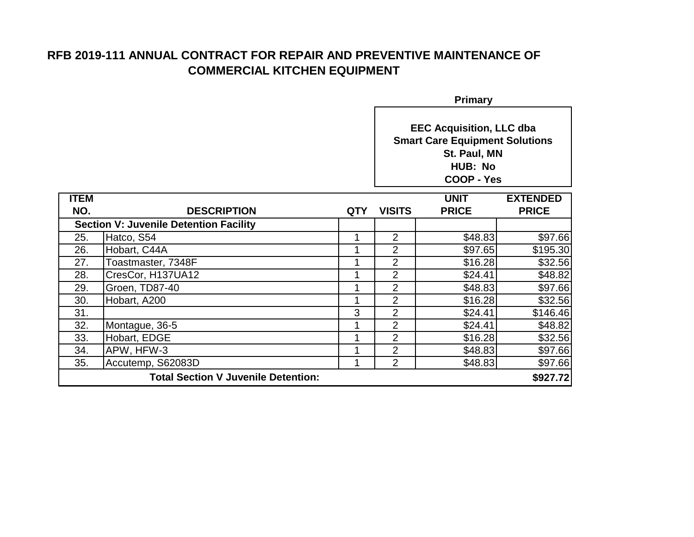| <b>Primary</b>                             |                                               |            |                                                                                                                                 |              |                 |
|--------------------------------------------|-----------------------------------------------|------------|---------------------------------------------------------------------------------------------------------------------------------|--------------|-----------------|
|                                            |                                               |            | <b>EEC Acquisition, LLC dba</b><br><b>Smart Care Equipment Solutions</b><br>St. Paul, MN<br><b>HUB: No</b><br><b>COOP - Yes</b> |              |                 |
| <b>ITEM</b>                                |                                               |            |                                                                                                                                 | <b>UNIT</b>  | <b>EXTENDED</b> |
| NO.                                        | <b>DESCRIPTION</b>                            | <b>QTY</b> | <b>VISITS</b>                                                                                                                   | <b>PRICE</b> | <b>PRICE</b>    |
|                                            | <b>Section V: Juvenile Detention Facility</b> |            |                                                                                                                                 |              |                 |
| 25.                                        | Hatco, S54                                    | 1          | $\overline{2}$                                                                                                                  | \$48.83      | \$97.66         |
| 26.                                        | Hobart, C44A                                  |            | $\overline{2}$                                                                                                                  | \$97.65      | \$195.30        |
| 27.                                        | Toastmaster, 7348F                            |            | $\overline{2}$                                                                                                                  | \$16.28      | \$32.56         |
| 28.                                        | CresCor, H137UA12                             |            | $\overline{2}$                                                                                                                  | \$24.41      | \$48.82         |
| 29.                                        | Groen, TD87-40                                | 1          | $\overline{2}$                                                                                                                  | \$48.83      | \$97.66         |
| 30.                                        | Hobart, A200                                  |            | $\overline{2}$                                                                                                                  | \$16.28      | \$32.56         |
| 31.                                        |                                               | 3          | $\overline{2}$                                                                                                                  | \$24.41      | \$146.46        |
| 32.                                        | Montague, 36-5                                |            | $\overline{2}$                                                                                                                  | \$24.41      | \$48.82         |
| 33.                                        | Hobart, EDGE                                  |            | $\overline{2}$                                                                                                                  | \$16.28      | \$32.56         |
| 34.                                        | APW, HFW-3                                    | 1          | $\overline{2}$                                                                                                                  | \$48.83      | \$97.66         |
| 35.                                        | Accutemp, S62083D                             | 1          | $\overline{2}$                                                                                                                  | \$48.83      | \$97.66         |
| <b>Total Section V Juvenile Detention:</b> |                                               |            |                                                                                                                                 |              | \$927.72        |